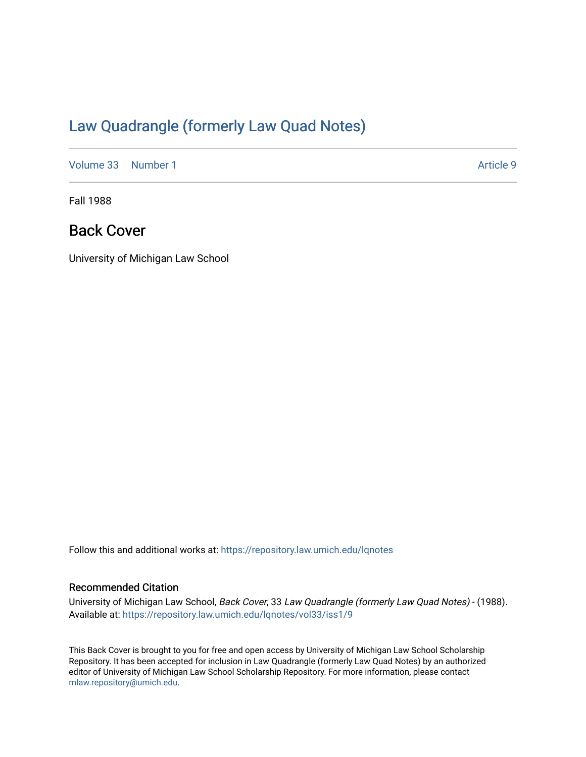# [Law Quadrangle \(formerly Law Quad Notes\)](https://repository.law.umich.edu/lqnotes)

[Volume 33](https://repository.law.umich.edu/lqnotes/vol33) [Number 1](https://repository.law.umich.edu/lqnotes/vol33/iss1) Article 9

Fall 1988

## Back Cover

University of Michigan Law School

Follow this and additional works at: [https://repository.law.umich.edu/lqnotes](https://repository.law.umich.edu/lqnotes?utm_source=repository.law.umich.edu%2Flqnotes%2Fvol33%2Fiss1%2F9&utm_medium=PDF&utm_campaign=PDFCoverPages) 

### Recommended Citation

University of Michigan Law School, Back Cover, 33 Law Quadrangle (formerly Law Quad Notes) - (1988). Available at: [https://repository.law.umich.edu/lqnotes/vol33/iss1/9](https://repository.law.umich.edu/lqnotes/vol33/iss1/9?utm_source=repository.law.umich.edu%2Flqnotes%2Fvol33%2Fiss1%2F9&utm_medium=PDF&utm_campaign=PDFCoverPages) 

This Back Cover is brought to you for free and open access by University of Michigan Law School Scholarship Repository. It has been accepted for inclusion in Law Quadrangle (formerly Law Quad Notes) by an authorized editor of University of Michigan Law School Scholarship Repository. For more information, please contact [mlaw.repository@umich.edu.](mailto:mlaw.repository@umich.edu)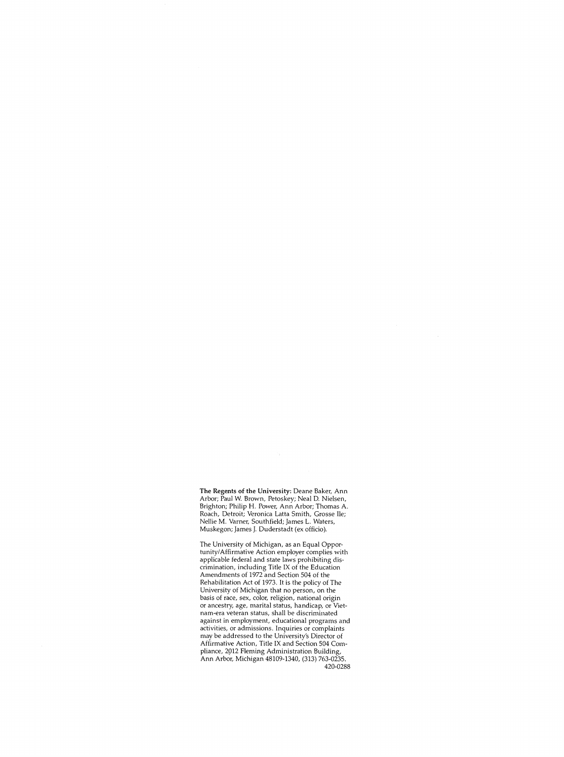**The** Regents of the University: Deane Baker, Ann Arbor; Paul W. Brown, Petoskey; Neal D. Nielsen, Brighton; Philip H. Power, Ann Arbor; Thomas A. Roach, Detroit; Veronica Latta Smith, Grosse Ile; Nellie M. Varner, Southfield; James L. Waters, Muskegon; James J. Duderstadt (ex officio).

The University of Michigan, as an Equal Opportunity/ Affirmative Action employer complies with applicable federal and state laws prohibiting discrimination, including Title IX of the Education Amendments of 1972 and Section 504 of the Rehabilitation Act of 1973. It is the policy ofThe University of Michigan that no person, on the basis of race, sex, color, religion, national origin or ancestry, age, marital status, handicap, or Vietnam-era veteran status, shall be discriminated against in employment, educational programs and activities, or admissions. Inquiries or complaints may be addressed to the University's Director of Affirmative Action, Title IX and Section 504 Compliance, 2912 Fleming Administration Building, Ann Arbor, Michigan 48109-1340, (313) 763-0235. 420-0288